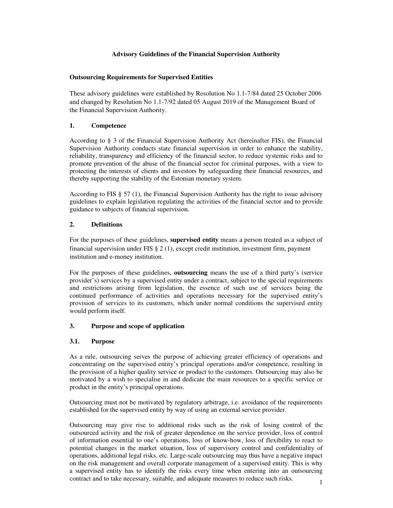# **Advisory Guidelines of the Financial Supervision Authority**

## **Outsourcing Requirements for Supervised Entities**

These advisory guidelines were established by Resolution No 1.1-7/84 dated 25 October 2006 and changed by Resolution No 1.1-7/92 dated 05 August 2019 of the Management Board of the Financial Supervision Authority.

# **1. Competence**

According to § 3 of the Financial Supervision Authority Act (hereinafter FIS), the Financial Supervision Authority conducts state financial supervision in order to enhance the stability, reliability, transparency and efficiency of the financial sector, to reduce systemic risks and to promote prevention of the abuse of the financial sector for criminal purposes, with a view to protecting the interests of clients and investors by safeguarding their financial resources, and thereby supporting the stability of the Estonian monetary system.

According to FIS § 57 (1), the Financial Supervision Authority has the right to issue advisory guidelines to explain legislation regulating the activities of the financial sector and to provide guidance to subjects of financial supervision.

# **2. Definitions**

For the purposes of these guidelines, **supervised entity** means a person treated as a subject of financial supervision under FIS § 2 (1), except credit institution, investment firm, payment institution and e-money institution.

For the purposes of these guidelines, **outsourcing** means the use of a third party's (service provider's) services by a supervised entity under a contract, subject to the special requirements and restrictions arising from legislation, the essence of such use of services being the continued performance of activities and operations necessary for the supervised entity's provision of services to its customers, which under normal conditions the supervised entity would perform itself.

# **3. Purpose and scope of application**

## **3.1. Purpose**

As a rule, outsourcing serves the purpose of achieving greater efficiency of operations and concentrating on the supervised entity's principal operations and/or competence, resulting in the provision of a higher quality service or product to the customers. Outsourcing may also be motivated by a wish to specialise in and dedicate the main resources to a specific service or product in the entity's principal operations.

Outsourcing must not be motivated by regulatory arbitrage, i.e. avoidance of the requirements established for the supervised entity by way of using an external service provider.

Outsourcing may give rise to additional risks such as the risk of losing control of the outsourced activity and the risk of greater dependence on the service provider, loss of control of information essential to one's operations, loss of know-how, loss of flexibility to react to potential changes in the market situation, loss of supervisory control and confidentiality of operations, additional legal risks, etc. Large-scale outsourcing may thus have a negative impact on the risk management and overall corporate management of a supervised entity. This is why a supervised entity has to identify the risks every time when entering into an outsourcing contract and to take necessary, suitable, and adequate measures to reduce such risks.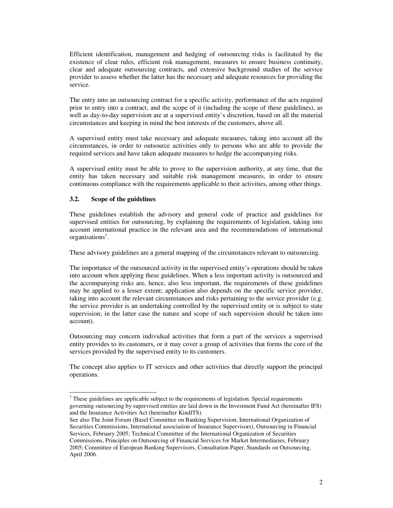Efficient identification, management and hedging of outsourcing risks is facilitated by the existence of clear rules, efficient risk management, measures to ensure business continuity, clear and adequate outsourcing contracts, and extensive background studies of the service provider to assess whether the latter has the necessary and adequate resources for providing the service.

The entry into an outsourcing contract for a specific activity, performance of the acts required prior to entry into a contract, and the scope of it (including the scope of these guidelines), as well as day-to-day supervision are at a supervised entity's discretion, based on all the material circumstances and keeping in mind the best interests of the customers, above all.

A supervised entity must take necessary and adequate measures, taking into account all the circumstances, in order to outsource activities only to persons who are able to provide the required services and have taken adequate measures to hedge the accompanying risks.

A supervised entity must be able to prove to the supervision authority, at any time, that the entity has taken necessary and suitable risk management measures, in order to ensure continuous compliance with the requirements applicable to their activities, among other things.

## **3.2. Scope of the guidelines**

 $\overline{a}$ 

These guidelines establish the advisory and general code of practice and guidelines for supervised entities for outsourcing, by explaining the requirements of legislation, taking into account international practice in the relevant area and the recommendations of international organisations<sup>1</sup>.

These advisory guidelines are a general mapping of the circumstances relevant to outsourcing.

The importance of the outsourced activity in the supervised entity's operations should be taken into account when applying these guidelines. When a less important activity is outsourced and the accompanying risks are, hence, also less important, the requirements of these guidelines may be applied to a lesser extent; application also depends on the specific service provider, taking into account the relevant circumstances and risks pertaining to the service provider (e.g. the service provider is an undertaking controlled by the supervised entity or is subject to state supervision; in the latter case the nature and scope of such supervision should be taken into account).

Outsourcing may concern individual activities that form a part of the services a supervised entity provides to its customers, or it may cover a group of activities that forms the core of the services provided by the supervised entity to its customers.

The concept also applies to IT services and other activities that directly support the principal operations.

 $1$ <sup>1</sup> These guidelines are applicable subject to the requirements of legislation. Special requirements governing outsourcing by supervised entities are laid down in the Investment Fund Act (hereinafter IFS) and the Insurance Activities Act (hereinafter KindlTS).

See also The Joint Forum (Basel Committee on Banking Supervision, International Organization of Securities Commissions, International association of Insurance Supervisors), Outsourcing in Financial Services, February 2005; Technical Committee of the International Organization of Securities Commissions, Principles on Outsourcing of Financial Services for Market Intermediaries, February 2005; Committee of European Banking Supervisors, Consultation Paper, Standards on Outsourcing, April 2006.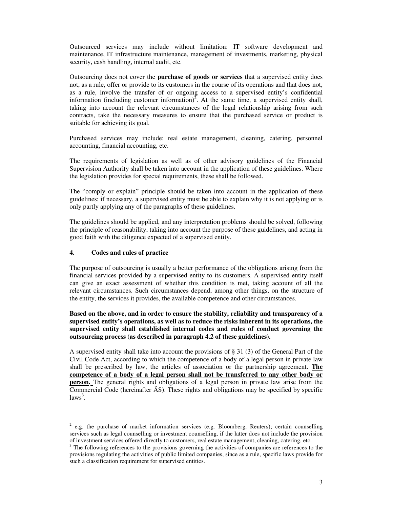Outsourced services may include without limitation: IT software development and maintenance, IT infrastructure maintenance, management of investments, marketing, physical security, cash handling, internal audit, etc.

Outsourcing does not cover the **purchase of goods or services** that a supervised entity does not, as a rule, offer or provide to its customers in the course of its operations and that does not, as a rule, involve the transfer of or ongoing access to a supervised entity's confidential information (including customer information)<sup>2</sup>. At the same time, a supervised entity shall, taking into account the relevant circumstances of the legal relationship arising from such contracts, take the necessary measures to ensure that the purchased service or product is suitable for achieving its goal.

Purchased services may include: real estate management, cleaning, catering, personnel accounting, financial accounting, etc.

The requirements of legislation as well as of other advisory guidelines of the Financial Supervision Authority shall be taken into account in the application of these guidelines. Where the legislation provides for special requirements, these shall be followed.

The "comply or explain" principle should be taken into account in the application of these guidelines: if necessary, a supervised entity must be able to explain why it is not applying or is only partly applying any of the paragraphs of these guidelines.

The guidelines should be applied, and any interpretation problems should be solved, following the principle of reasonability, taking into account the purpose of these guidelines, and acting in good faith with the diligence expected of a supervised entity.

## **4. Codes and rules of practice**

 $\overline{a}$ 

The purpose of outsourcing is usually a better performance of the obligations arising from the financial services provided by a supervised entity to its customers. A supervised entity itself can give an exact assessment of whether this condition is met, taking account of all the relevant circumstances. Such circumstances depend, among other things, on the structure of the entity, the services it provides, the available competence and other circumstances.

**Based on the above, and in order to ensure the stability, reliability and transparency of a supervised entity's operations, as well as to reduce the risks inherent in its operations, the supervised entity shall established internal codes and rules of conduct governing the outsourcing process (as described in paragraph 4.2 of these guidelines).**

A supervised entity shall take into account the provisions of § 31 (3) of the General Part of the Civil Code Act, according to which the competence of a body of a legal person in private law shall be prescribed by law, the articles of association or the partnership agreement. **The competence of a body of a legal person shall not be transferred to any other body or person.** The general rights and obligations of a legal person in private law arise from the Commercial Code (hereinafter ÄS). These rights and obligations may be specified by specific  $laws<sup>3</sup>$ .

<sup>2</sup> e.g. the purchase of market information services (e.g. Bloomberg, Reuters); certain counselling services such as legal counselling or investment counselling, if the latter does not include the provision of investment services offered directly to customers, real estate management, cleaning, catering, etc.

<sup>&</sup>lt;sup>3</sup> The following references to the provisions governing the activities of companies are references to the provisions regulating the activities of public limited companies, since as a rule, specific laws provide for such a classification requirement for supervised entities.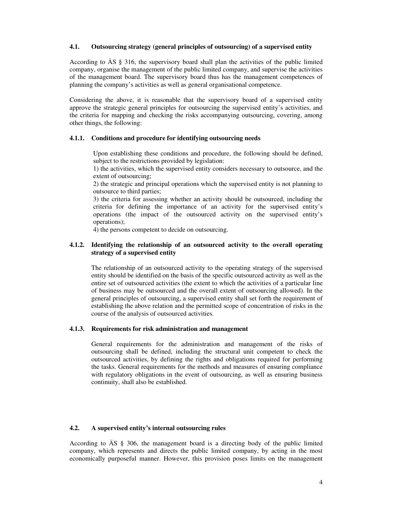# **4.1. Outsourcing strategy (general principles of outsourcing) of a supervised entity**

According to ÄS § 316, the supervisory board shall plan the activities of the public limited company, organise the management of the public limited company, and supervise the activities of the management board. The supervisory board thus has the management competences of planning the company's activities as well as general organisational competence.

Considering the above, it is reasonable that the supervisory board of a supervised entity approve the strategic general principles for outsourcing the supervised entity's activities, and the criteria for mapping and checking the risks accompanying outsourcing, covering, among other things, the following:

## **4.1.1. Conditions and procedure for identifying outsourcing needs**

Upon establishing these conditions and procedure, the following should be defined, subject to the restrictions provided by legislation:

1) the activities, which the supervised entity considers necessary to outsource, and the extent of outsourcing;

2) the strategic and principal operations which the supervised entity is not planning to outsource to third parties;

3) the criteria for assessing whether an activity should be outsourced, including the criteria for defining the importance of an activity for the supervised entity's operations (the impact of the outsourced activity on the supervised entity's operations);

4) the persons competent to decide on outsourcing.

# **4.1.2. Identifying the relationship of an outsourced activity to the overall operating strategy of a supervised entity**

The relationship of an outsourced activity to the operating strategy of the supervised entity should be identified on the basis of the specific outsourced activity as well as the entire set of outsourced activities (the extent to which the activities of a particular line of business may be outsourced and the overall extent of outsourcing allowed). In the general principles of outsourcing, a supervised entity shall set forth the requirement of establishing the above relation and the permitted scope of concentration of risks in the course of the analysis of outsourced activities.

## **4.1.3. Requirements for risk administration and management**

General requirements for the administration and management of the risks of outsourcing shall be defined, including the structural unit competent to check the outsourced activities, by defining the rights and obligations required for performing the tasks. General requirements for the methods and measures of ensuring compliance with regulatory obligations in the event of outsourcing, as well as ensuring business continuity, shall also be established.

# **4.2. A supervised entity's internal outsourcing rules**

According to ÄS § 306, the management board is a directing body of the public limited company, which represents and directs the public limited company, by acting in the most economically purposeful manner. However, this provision poses limits on the management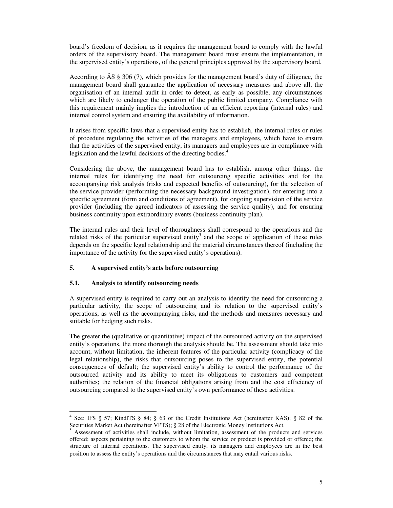board's freedom of decision, as it requires the management board to comply with the lawful orders of the supervisory board. The management board must ensure the implementation, in the supervised entity's operations, of the general principles approved by the supervisory board.

According to ÄS § 306 (7), which provides for the management board's duty of diligence, the management board shall guarantee the application of necessary measures and above all, the organisation of an internal audit in order to detect, as early as possible, any circumstances which are likely to endanger the operation of the public limited company. Compliance with this requirement mainly implies the introduction of an efficient reporting (internal rules) and internal control system and ensuring the availability of information.

It arises from specific laws that a supervised entity has to establish, the internal rules or rules of procedure regulating the activities of the managers and employees, which have to ensure that the activities of the supervised entity, its managers and employees are in compliance with legislation and the lawful decisions of the directing bodies.<sup>4</sup>

Considering the above, the management board has to establish, among other things, the internal rules for identifying the need for outsourcing specific activities and for the accompanying risk analysis (risks and expected benefits of outsourcing), for the selection of the service provider (performing the necessary background investigation), for entering into a specific agreement (form and conditions of agreement), for ongoing supervision of the service provider (including the agreed indicators of assessing the service quality), and for ensuring business continuity upon extraordinary events (business continuity plan).

The internal rules and their level of thoroughness shall correspond to the operations and the related risks of the particular supervised entity<sup>5</sup> and the scope of application of these rules depends on the specific legal relationship and the material circumstances thereof (including the importance of the activity for the supervised entity's operations).

# **5. A supervised entity's acts before outsourcing**

## **5.1. Analysis to identify outsourcing needs**

A supervised entity is required to carry out an analysis to identify the need for outsourcing a particular activity, the scope of outsourcing and its relation to the supervised entity's operations, as well as the accompanying risks, and the methods and measures necessary and suitable for hedging such risks.

The greater the (qualitative or quantitative) impact of the outsourced activity on the supervised entity's operations, the more thorough the analysis should be. The assessment should take into account, without limitation, the inherent features of the particular activity (complicacy of the legal relationship), the risks that outsourcing poses to the supervised entity, the potential consequences of default; the supervised entity's ability to control the performance of the outsourced activity and its ability to meet its obligations to customers and competent authorities; the relation of the financial obligations arising from and the cost efficiency of outsourcing compared to the supervised entity's own performance of these activities.

 $\overline{a}$ 4 See: IFS § 57; KindlTS § 84; § 63 of the Credit Institutions Act (hereinafter KAS); § 82 of the Securities Market Act (hereinafter VPTS); § 28 of the Electronic Money Institutions Act.

Assessment of activities shall include, without limitation, assessment of the products and services offered; aspects pertaining to the customers to whom the service or product is provided or offered; the structure of internal operations. The supervised entity, its managers and employees are in the best position to assess the entity's operations and the circumstances that may entail various risks.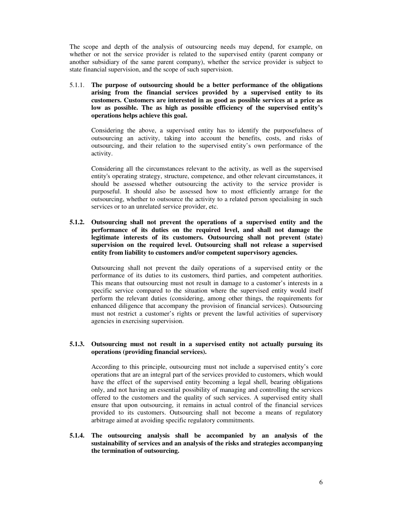The scope and depth of the analysis of outsourcing needs may depend, for example, on whether or not the service provider is related to the supervised entity (parent company or another subsidiary of the same parent company), whether the service provider is subject to state financial supervision, and the scope of such supervision.

5.1.1. **The purpose of outsourcing should be a better performance of the obligations arising from the financial services provided by a supervised entity to its customers. Customers are interested in as good as possible services at a price as low as possible. The as high as possible efficiency of the supervised entity's operations helps achieve this goal.**

Considering the above, a supervised entity has to identify the purposefulness of outsourcing an activity, taking into account the benefits, costs, and risks of outsourcing, and their relation to the supervised entity's own performance of the activity.

Considering all the circumstances relevant to the activity, as well as the supervised entity's operating strategy, structure, competence, and other relevant circumstances, it should be assessed whether outsourcing the activity to the service provider is purposeful. It should also be assessed how to most efficiently arrange for the outsourcing, whether to outsource the activity to a related person specialising in such services or to an unrelated service provider, etc.

**5.1.2. Outsourcing shall not prevent the operations of a supervised entity and the performance of its duties on the required level, and shall not damage the legitimate interests of its customers. Outsourcing shall not prevent (state) supervision on the required level. Outsourcing shall not release a supervised entity from liability to customers and/or competent supervisory agencies.**

Outsourcing shall not prevent the daily operations of a supervised entity or the performance of its duties to its customers, third parties, and competent authorities. This means that outsourcing must not result in damage to a customer's interests in a specific service compared to the situation where the supervised entity would itself perform the relevant duties (considering, among other things, the requirements for enhanced diligence that accompany the provision of financial services). Outsourcing must not restrict a customer's rights or prevent the lawful activities of supervisory agencies in exercising supervision.

## **5.1.3. Outsourcing must not result in a supervised entity not actually pursuing its operations (providing financial services).**

According to this principle, outsourcing must not include a supervised entity's core operations that are an integral part of the services provided to customers, which would have the effect of the supervised entity becoming a legal shell, bearing obligations only, and not having an essential possibility of managing and controlling the services offered to the customers and the quality of such services. A supervised entity shall ensure that upon outsourcing, it remains in actual control of the financial services provided to its customers. Outsourcing shall not become a means of regulatory arbitrage aimed at avoiding specific regulatory commitments.

**5.1.4. The outsourcing analysis shall be accompanied by an analysis of the sustainability of services and an analysis of the risks and strategies accompanying the termination of outsourcing.**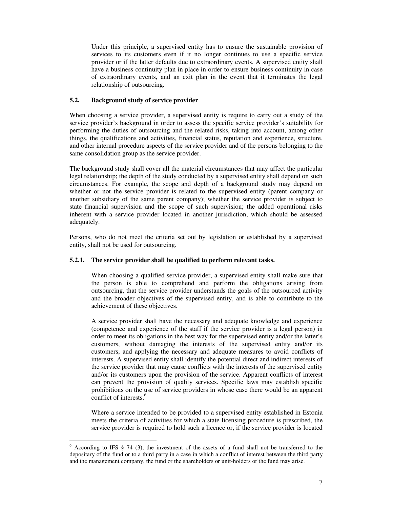Under this principle, a supervised entity has to ensure the sustainable provision of services to its customers even if it no longer continues to use a specific service provider or if the latter defaults due to extraordinary events. A supervised entity shall have a business continuity plan in place in order to ensure business continuity in case of extraordinary events, and an exit plan in the event that it terminates the legal relationship of outsourcing.

# **5.2. Background study of service provider**

When choosing a service provider, a supervised entity is require to carry out a study of the service provider's background in order to assess the specific service provider's suitability for performing the duties of outsourcing and the related risks, taking into account, among other things, the qualifications and activities, financial status, reputation and experience, structure, and other internal procedure aspects of the service provider and of the persons belonging to the same consolidation group as the service provider.

The background study shall cover all the material circumstances that may affect the particular legal relationship; the depth of the study conducted by a supervised entity shall depend on such circumstances. For example, the scope and depth of a background study may depend on whether or not the service provider is related to the supervised entity (parent company or another subsidiary of the same parent company); whether the service provider is subject to state financial supervision and the scope of such supervision; the added operational risks inherent with a service provider located in another jurisdiction, which should be assessed adequately.

Persons, who do not meet the criteria set out by legislation or established by a supervised entity, shall not be used for outsourcing.

## **5.2.1. The service provider shall be qualified to perform relevant tasks.**

When choosing a qualified service provider, a supervised entity shall make sure that the person is able to comprehend and perform the obligations arising from outsourcing, that the service provider understands the goals of the outsourced activity and the broader objectives of the supervised entity, and is able to contribute to the achievement of these objectives.

A service provider shall have the necessary and adequate knowledge and experience (competence and experience of the staff if the service provider is a legal person) in order to meet its obligations in the best way for the supervised entity and/or the latter's customers, without damaging the interests of the supervised entity and/or its customers, and applying the necessary and adequate measures to avoid conflicts of interests. A supervised entity shall identify the potential direct and indirect interests of the service provider that may cause conflicts with the interests of the supervised entity and/or its customers upon the provision of the service. Apparent conflicts of interest can prevent the provision of quality services. Specific laws may establish specific prohibitions on the use of service providers in whose case there would be an apparent conflict of interests.<sup>6</sup>

Where a service intended to be provided to a supervised entity established in Estonia meets the criteria of activities for which a state licensing procedure is prescribed, the service provider is required to hold such a licence or, if the service provider is located

 $\overline{a}$  $6$  According to IFS  $§$  74 (3), the investment of the assets of a fund shall not be transferred to the depositary of the fund or to a third party in a case in which a conflict of interest between the third party and the management company, the fund or the shareholders or unit-holders of the fund may arise.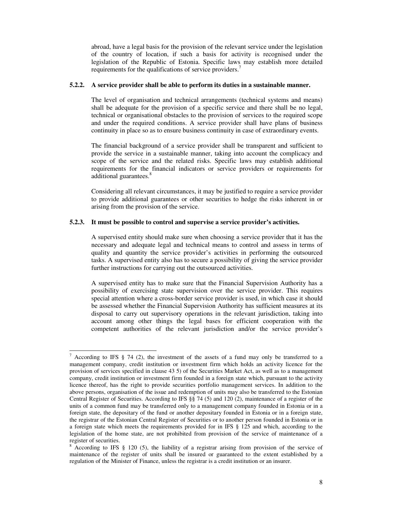abroad, have a legal basis for the provision of the relevant service under the legislation of the country of location, if such a basis for activity is recognised under the legislation of the Republic of Estonia. Specific laws may establish more detailed requirements for the qualifications of service providers.<sup>7</sup>

### **5.2.2. A service provider shall be able to perform its duties in a sustainable manner.**

The level of organisation and technical arrangements (technical systems and means) shall be adequate for the provision of a specific service and there shall be no legal, technical or organisational obstacles to the provision of services to the required scope and under the required conditions. A service provider shall have plans of business continuity in place so as to ensure business continuity in case of extraordinary events.

The financial background of a service provider shall be transparent and sufficient to provide the service in a sustainable manner, taking into account the complicacy and scope of the service and the related risks. Specific laws may establish additional requirements for the financial indicators or service providers or requirements for additional guarantees.<sup>8</sup>

Considering all relevant circumstances, it may be justified to require a service provider to provide additional guarantees or other securities to hedge the risks inherent in or arising from the provision of the service.

### **5.2.3. It must be possible to control and supervise a service provider's activities.**

A supervised entity should make sure when choosing a service provider that it has the necessary and adequate legal and technical means to control and assess in terms of quality and quantity the service provider's activities in performing the outsourced tasks. A supervised entity also has to secure a possibility of giving the service provider further instructions for carrying out the outsourced activities.

A supervised entity has to make sure that the Financial Supervision Authority has a possibility of exercising state supervision over the service provider. This requires special attention where a cross-border service provider is used, in which case it should be assessed whether the Financial Supervision Authority has sufficient measures at its disposal to carry out supervisory operations in the relevant jurisdiction, taking into account among other things the legal bases for efficient cooperation with the competent authorities of the relevant jurisdiction and/or the service provider's

 $\overline{a}$ 

According to IFS  $\S$  74 (2), the investment of the assets of a fund may only be transferred to a management company, credit institution or investment firm which holds an activity licence for the provision of services specified in clause 43 5) of the Securities Market Act, as well as to a management company, credit institution or investment firm founded in a foreign state which, pursuant to the activity licence thereof, has the right to provide securities portfolio management services. In addition to the above persons, organisation of the issue and redemption of units may also be transferred to the Estonian Central Register of Securities. According to IFS §§ 74 (5) and 120 (2), maintenance of a register of the units of a common fund may be transferred only to a management company founded in Estonia or in a foreign state, the depositary of the fund or another depositary founded in Estonia or in a foreign state, the registrar of the Estonian Central Register of Securities or to another person founded in Estonia or in a foreign state which meets the requirements provided for in IFS § 125 and which, according to the legislation of the home state, are not prohibited from provision of the service of maintenance of a register of securities.

<sup>&</sup>lt;sup>8</sup> According to IFS § 120 (5), the liability of a registrar arising from provision of the service of maintenance of the register of units shall be insured or guaranteed to the extent established by a regulation of the Minister of Finance, unless the registrar is a credit institution or an insurer.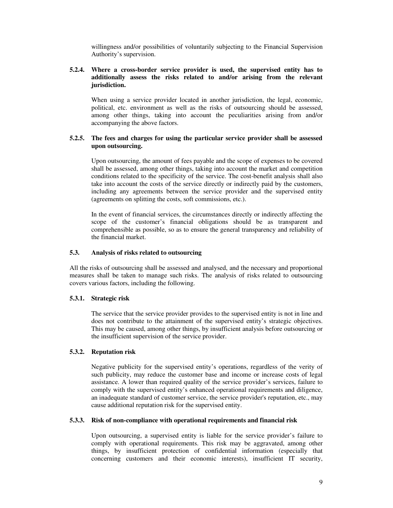willingness and/or possibilities of voluntarily subjecting to the Financial Supervision Authority's supervision.

## **5.2.4. Where a cross-border service provider is used, the supervised entity has to additionally assess the risks related to and/or arising from the relevant jurisdiction.**

When using a service provider located in another jurisdiction, the legal, economic, political, etc. environment as well as the risks of outsourcing should be assessed, among other things, taking into account the peculiarities arising from and/or accompanying the above factors.

## **5.2.5. The fees and charges for using the particular service provider shall be assessed upon outsourcing.**

Upon outsourcing, the amount of fees payable and the scope of expenses to be covered shall be assessed, among other things, taking into account the market and competition conditions related to the specificity of the service. The cost-benefit analysis shall also take into account the costs of the service directly or indirectly paid by the customers, including any agreements between the service provider and the supervised entity (agreements on splitting the costs, soft commissions, etc.).

In the event of financial services, the circumstances directly or indirectly affecting the scope of the customer's financial obligations should be as transparent and comprehensible as possible, so as to ensure the general transparency and reliability of the financial market.

### **5.3. Analysis of risks related to outsourcing**

All the risks of outsourcing shall be assessed and analysed, and the necessary and proportional measures shall be taken to manage such risks. The analysis of risks related to outsourcing covers various factors, including the following.

## **5.3.1. Strategic risk**

The service that the service provider provides to the supervised entity is not in line and does not contribute to the attainment of the supervised entity's strategic objectives. This may be caused, among other things, by insufficient analysis before outsourcing or the insufficient supervision of the service provider.

## **5.3.2. Reputation risk**

Negative publicity for the supervised entity's operations, regardless of the verity of such publicity, may reduce the customer base and income or increase costs of legal assistance. A lower than required quality of the service provider's services, failure to comply with the supervised entity's enhanced operational requirements and diligence, an inadequate standard of customer service, the service provider's reputation, etc., may cause additional reputation risk for the supervised entity.

#### **5.3.3. Risk of non-compliance with operational requirements and financial risk**

Upon outsourcing, a supervised entity is liable for the service provider's failure to comply with operational requirements. This risk may be aggravated, among other things, by insufficient protection of confidential information (especially that concerning customers and their economic interests), insufficient IT security,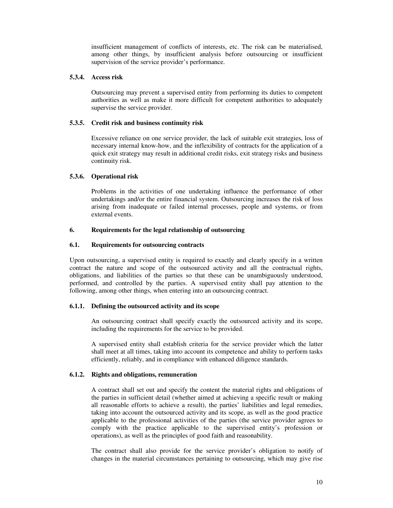insufficient management of conflicts of interests, etc. The risk can be materialised, among other things, by insufficient analysis before outsourcing or insufficient supervision of the service provider's performance.

## **5.3.4. Access risk**

Outsourcing may prevent a supervised entity from performing its duties to competent authorities as well as make it more difficult for competent authorities to adequately supervise the service provider.

## **5.3.5. Credit risk and business continuity risk**

Excessive reliance on one service provider, the lack of suitable exit strategies, loss of necessary internal know-how, and the inflexibility of contracts for the application of a quick exit strategy may result in additional credit risks, exit strategy risks and business continuity risk.

# **5.3.6. Operational risk**

Problems in the activities of one undertaking influence the performance of other undertakings and/or the entire financial system. Outsourcing increases the risk of loss arising from inadequate or failed internal processes, people and systems, or from external events.

# **6. Requirements for the legal relationship of outsourcing**

# **6.1. Requirements for outsourcing contracts**

Upon outsourcing, a supervised entity is required to exactly and clearly specify in a written contract the nature and scope of the outsourced activity and all the contractual rights, obligations, and liabilities of the parties so that these can be unambiguously understood, performed, and controlled by the parties. A supervised entity shall pay attention to the following, among other things, when entering into an outsourcing contract.

## **6.1.1. Defining the outsourced activity and its scope**

An outsourcing contract shall specify exactly the outsourced activity and its scope, including the requirements for the service to be provided.

A supervised entity shall establish criteria for the service provider which the latter shall meet at all times, taking into account its competence and ability to perform tasks efficiently, reliably, and in compliance with enhanced diligence standards.

# **6.1.2. Rights and obligations, remuneration**

A contract shall set out and specify the content the material rights and obligations of the parties in sufficient detail (whether aimed at achieving a specific result or making all reasonable efforts to achieve a result), the parties' liabilities and legal remedies, taking into account the outsourced activity and its scope, as well as the good practice applicable to the professional activities of the parties (the service provider agrees to comply with the practice applicable to the supervised entity's profession or operations), as well as the principles of good faith and reasonability.

The contract shall also provide for the service provider's obligation to notify of changes in the material circumstances pertaining to outsourcing, which may give rise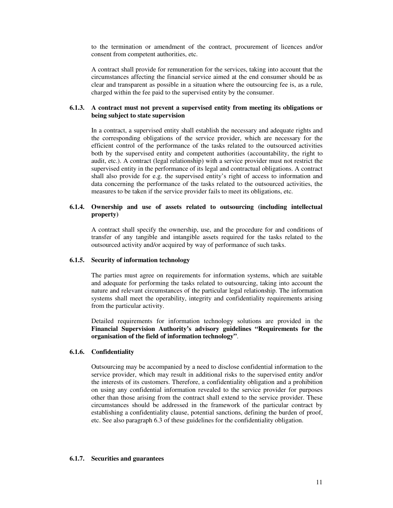to the termination or amendment of the contract, procurement of licences and/or consent from competent authorities, etc.

A contract shall provide for remuneration for the services, taking into account that the circumstances affecting the financial service aimed at the end consumer should be as clear and transparent as possible in a situation where the outsourcing fee is, as a rule, charged within the fee paid to the supervised entity by the consumer.

## **6.1.3. A contract must not prevent a supervised entity from meeting its obligations or being subject to state supervision**

In a contract, a supervised entity shall establish the necessary and adequate rights and the corresponding obligations of the service provider, which are necessary for the efficient control of the performance of the tasks related to the outsourced activities both by the supervised entity and competent authorities (accountability, the right to audit, etc.). A contract (legal relationship) with a service provider must not restrict the supervised entity in the performance of its legal and contractual obligations. A contract shall also provide for e.g. the supervised entity's right of access to information and data concerning the performance of the tasks related to the outsourced activities, the measures to be taken if the service provider fails to meet its obligations, etc.

### **6.1.4. Ownership and use of assets related to outsourcing (including intellectual property)**

A contract shall specify the ownership, use, and the procedure for and conditions of transfer of any tangible and intangible assets required for the tasks related to the outsourced activity and/or acquired by way of performance of such tasks.

#### **6.1.5. Security of information technology**

The parties must agree on requirements for information systems, which are suitable and adequate for performing the tasks related to outsourcing, taking into account the nature and relevant circumstances of the particular legal relationship. The information systems shall meet the operability, integrity and confidentiality requirements arising from the particular activity.

Detailed requirements for information technology solutions are provided in the **Financial Supervision Authority's advisory guidelines "Requirements for the organisation of the field of information technology"**.

# **6.1.6. Confidentiality**

Outsourcing may be accompanied by a need to disclose confidential information to the service provider, which may result in additional risks to the supervised entity and/or the interests of its customers. Therefore, a confidentiality obligation and a prohibition on using any confidential information revealed to the service provider for purposes other than those arising from the contract shall extend to the service provider. These circumstances should be addressed in the framework of the particular contract by establishing a confidentiality clause, potential sanctions, defining the burden of proof, etc. See also paragraph 6.3 of these guidelines for the confidentiality obligation.

## **6.1.7. Securities and guarantees**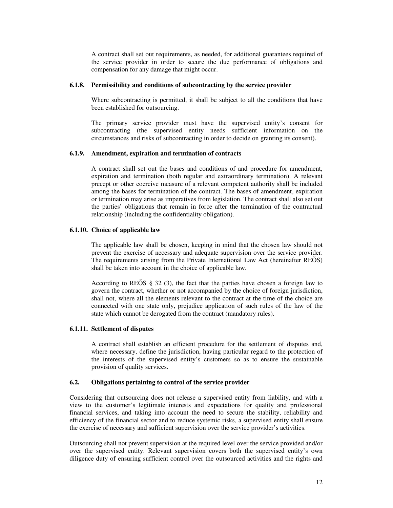A contract shall set out requirements, as needed, for additional guarantees required of the service provider in order to secure the due performance of obligations and compensation for any damage that might occur.

#### **6.1.8. Permissibility and conditions of subcontracting by the service provider**

Where subcontracting is permitted, it shall be subject to all the conditions that have been established for outsourcing.

The primary service provider must have the supervised entity's consent for subcontracting (the supervised entity needs sufficient information on the circumstances and risks of subcontracting in order to decide on granting its consent).

### **6.1.9. Amendment, expiration and termination of contracts**

A contract shall set out the bases and conditions of and procedure for amendment, expiration and termination (both regular and extraordinary termination). A relevant precept or other coercive measure of a relevant competent authority shall be included among the bases for termination of the contract. The bases of amendment, expiration or termination may arise as imperatives from legislation. The contract shall also set out the parties' obligations that remain in force after the termination of the contractual relationship (including the confidentiality obligation).

### **6.1.10. Choice of applicable law**

The applicable law shall be chosen, keeping in mind that the chosen law should not prevent the exercise of necessary and adequate supervision over the service provider. The requirements arising from the Private International Law Act (hereinafter REÕS) shall be taken into account in the choice of applicable law.

According to REÕS § 32 (3), the fact that the parties have chosen a foreign law to govern the contract, whether or not accompanied by the choice of foreign jurisdiction, shall not, where all the elements relevant to the contract at the time of the choice are connected with one state only, prejudice application of such rules of the law of the state which cannot be derogated from the contract (mandatory rules).

## **6.1.11. Settlement of disputes**

A contract shall establish an efficient procedure for the settlement of disputes and, where necessary, define the jurisdiction, having particular regard to the protection of the interests of the supervised entity's customers so as to ensure the sustainable provision of quality services.

### **6.2. Obligations pertaining to control of the service provider**

Considering that outsourcing does not release a supervised entity from liability, and with a view to the customer's legitimate interests and expectations for quality and professional financial services, and taking into account the need to secure the stability, reliability and efficiency of the financial sector and to reduce systemic risks, a supervised entity shall ensure the exercise of necessary and sufficient supervision over the service provider's activities.

Outsourcing shall not prevent supervision at the required level over the service provided and/or over the supervised entity. Relevant supervision covers both the supervised entity's own diligence duty of ensuring sufficient control over the outsourced activities and the rights and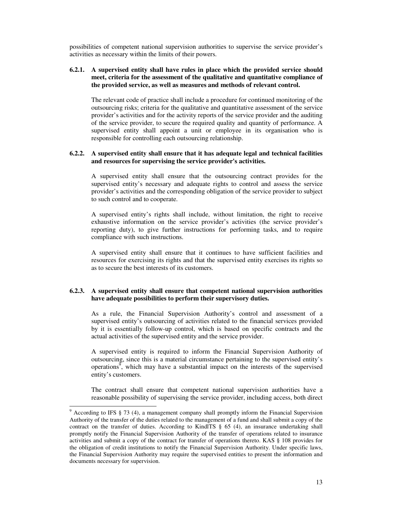possibilities of competent national supervision authorities to supervise the service provider's activities as necessary within the limits of their powers.

### **6.2.1. A supervised entity shall have rules in place which the provided service should meet, criteria for the assessment of the qualitative and quantitative compliance of the provided service, as well as measures and methods of relevant control.**

The relevant code of practice shall include a procedure for continued monitoring of the outsourcing risks; criteria for the qualitative and quantitative assessment of the service provider's activities and for the activity reports of the service provider and the auditing of the service provider, to secure the required quality and quantity of performance. A supervised entity shall appoint a unit or employee in its organisation who is responsible for controlling each outsourcing relationship.

## **6.2.2. A supervised entity shall ensure that it has adequate legal and technical facilities and resources for supervising the service provider's activities.**

A supervised entity shall ensure that the outsourcing contract provides for the supervised entity's necessary and adequate rights to control and assess the service provider's activities and the corresponding obligation of the service provider to subject to such control and to cooperate.

A supervised entity's rights shall include, without limitation, the right to receive exhaustive information on the service provider's activities (the service provider's reporting duty), to give further instructions for performing tasks, and to require compliance with such instructions.

A supervised entity shall ensure that it continues to have sufficient facilities and resources for exercising its rights and that the supervised entity exercises its rights so as to secure the best interests of its customers.

## **6.2.3. A supervised entity shall ensure that competent national supervision authorities have adequate possibilities to perform their supervisory duties.**

 As a rule, the Financial Supervision Authority's control and assessment of a supervised entity's outsourcing of activities related to the financial services provided by it is essentially follow-up control, which is based on specific contracts and the actual activities of the supervised entity and the service provider.

 A supervised entity is required to inform the Financial Supervision Authority of outsourcing, since this is a material circumstance pertaining to the supervised entity's operations, which may have a substantial impact on the interests of the supervised entity's customers.

The contract shall ensure that competent national supervision authorities have a reasonable possibility of supervising the service provider, including access, both direct

 $\overline{a}$ 

 $9$  According to IFS  $§$  73 (4), a management company shall promptly inform the Financial Supervision Authority of the transfer of the duties related to the management of a fund and shall submit a copy of the contract on the transfer of duties. According to KindlTS  $\S$  65 (4), an insurance undertaking shall promptly notify the Financial Supervision Authority of the transfer of operations related to insurance activities and submit a copy of the contract for transfer of operations thereto. KAS § 108 provides for the obligation of credit institutions to notify the Financial Supervision Authority. Under specific laws, the Financial Supervision Authority may require the supervised entities to present the information and documents necessary for supervision.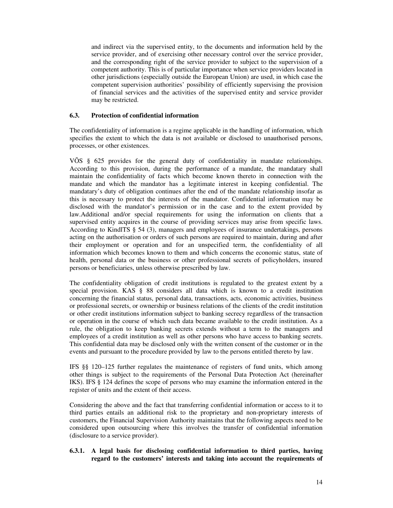and indirect via the supervised entity, to the documents and information held by the service provider, and of exercising other necessary control over the service provider, and the corresponding right of the service provider to subject to the supervision of a competent authority. This is of particular importance when service providers located in other jurisdictions (especially outside the European Union) are used, in which case the competent supervision authorities' possibility of efficiently supervising the provision of financial services and the activities of the supervised entity and service provider may be restricted.

### **6.3. Protection of confidential information**

The confidentiality of information is a regime applicable in the handling of information, which specifies the extent to which the data is not available or disclosed to unauthorised persons, processes, or other existences.

VÕS § 625 provides for the general duty of confidentiality in mandate relationships. According to this provision, during the performance of a mandate, the mandatary shall maintain the confidentiality of facts which become known thereto in connection with the mandate and which the mandator has a legitimate interest in keeping confidential. The mandatary's duty of obligation continues after the end of the mandate relationship insofar as this is necessary to protect the interests of the mandator. Confidential information may be disclosed with the mandator's permission or in the case and to the extent provided by law.Additional and/or special requirements for using the information on clients that a supervised entity acquires in the course of providing services may arise from specific laws. According to KindlTS § 54 (3), managers and employees of insurance undertakings, persons acting on the authorisation or orders of such persons are required to maintain, during and after their employment or operation and for an unspecified term, the confidentiality of all information which becomes known to them and which concerns the economic status, state of health, personal data or the business or other professional secrets of policyholders, insured persons or beneficiaries, unless otherwise prescribed by law.

The confidentiality obligation of credit institutions is regulated to the greatest extent by a special provision. KAS § 88 considers all data which is known to a credit institution concerning the financial status, personal data, transactions, acts, economic activities, business or professional secrets, or ownership or business relations of the clients of the credit institution or other credit institutions information subject to banking secrecy regardless of the transaction or operation in the course of which such data became available to the credit institution. As a rule, the obligation to keep banking secrets extends without a term to the managers and employees of a credit institution as well as other persons who have access to banking secrets. This confidential data may be disclosed only with the written consent of the customer or in the events and pursuant to the procedure provided by law to the persons entitled thereto by law.

IFS §§ 120–125 further regulates the maintenance of registers of fund units, which among other things is subject to the requirements of the Personal Data Protection Act (hereinafter IKS). IFS § 124 defines the scope of persons who may examine the information entered in the register of units and the extent of their access.

Considering the above and the fact that transferring confidential information or access to it to third parties entails an additional risk to the proprietary and non-proprietary interests of customers, the Financial Supervision Authority maintains that the following aspects need to be considered upon outsourcing where this involves the transfer of confidential information (disclosure to a service provider).

## **6.3.1. A legal basis for disclosing confidential information to third parties, having regard to the customers' interests and taking into account the requirements of**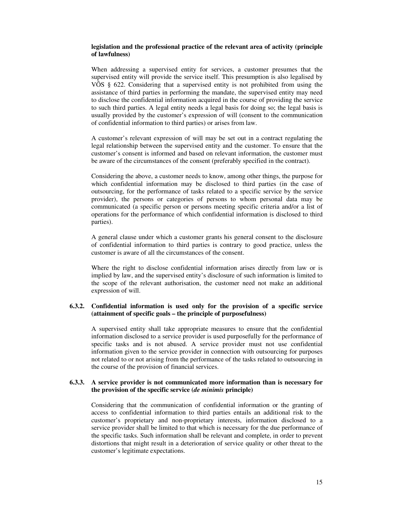### **legislation and the professional practice of the relevant area of activity (principle of lawfulness)**

When addressing a supervised entity for services, a customer presumes that the supervised entity will provide the service itself. This presumption is also legalised by VÕS § 622. Considering that a supervised entity is not prohibited from using the assistance of third parties in performing the mandate, the supervised entity may need to disclose the confidential information acquired in the course of providing the service to such third parties. A legal entity needs a legal basis for doing so; the legal basis is usually provided by the customer's expression of will (consent to the communication of confidential information to third parties) or arises from law.

A customer's relevant expression of will may be set out in a contract regulating the legal relationship between the supervised entity and the customer. To ensure that the customer's consent is informed and based on relevant information, the customer must be aware of the circumstances of the consent (preferably specified in the contract).

Considering the above, a customer needs to know, among other things, the purpose for which confidential information may be disclosed to third parties (in the case of outsourcing, for the performance of tasks related to a specific service by the service provider), the persons or categories of persons to whom personal data may be communicated (a specific person or persons meeting specific criteria and/or a list of operations for the performance of which confidential information is disclosed to third parties).

A general clause under which a customer grants his general consent to the disclosure of confidential information to third parties is contrary to good practice, unless the customer is aware of all the circumstances of the consent.

Where the right to disclose confidential information arises directly from law or is implied by law, and the supervised entity's disclosure of such information is limited to the scope of the relevant authorisation, the customer need not make an additional expression of will.

### **6.3.2. Confidential information is used only for the provision of a specific service (attainment of specific goals – the principle of purposefulness)**

A supervised entity shall take appropriate measures to ensure that the confidential information disclosed to a service provider is used purposefully for the performance of specific tasks and is not abused. A service provider must not use confidential information given to the service provider in connection with outsourcing for purposes not related to or not arising from the performance of the tasks related to outsourcing in the course of the provision of financial services.

## **6.3.3. A service provider is not communicated more information than is necessary for the provision of the specific service (***de minimis* **principle)**

Considering that the communication of confidential information or the granting of access to confidential information to third parties entails an additional risk to the customer's proprietary and non-proprietary interests, information disclosed to a service provider shall be limited to that which is necessary for the due performance of the specific tasks. Such information shall be relevant and complete, in order to prevent distortions that might result in a deterioration of service quality or other threat to the customer's legitimate expectations.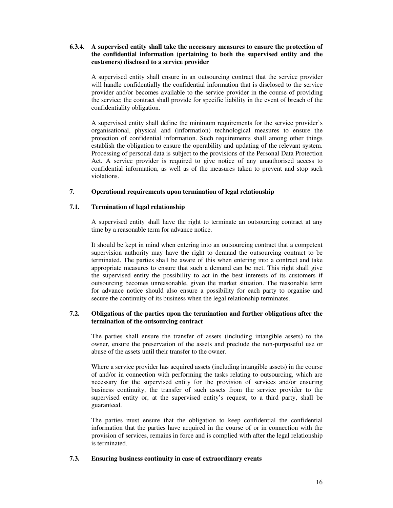## **6.3.4. A supervised entity shall take the necessary measures to ensure the protection of the confidential information (pertaining to both the supervised entity and the customers) disclosed to a service provider**

A supervised entity shall ensure in an outsourcing contract that the service provider will handle confidentially the confidential information that is disclosed to the service provider and/or becomes available to the service provider in the course of providing the service; the contract shall provide for specific liability in the event of breach of the confidentiality obligation.

A supervised entity shall define the minimum requirements for the service provider's organisational, physical and (information) technological measures to ensure the protection of confidential information. Such requirements shall among other things establish the obligation to ensure the operability and updating of the relevant system. Processing of personal data is subject to the provisions of the Personal Data Protection Act. A service provider is required to give notice of any unauthorised access to confidential information, as well as of the measures taken to prevent and stop such violations.

## **7. Operational requirements upon termination of legal relationship**

# **7.1. Termination of legal relationship**

A supervised entity shall have the right to terminate an outsourcing contract at any time by a reasonable term for advance notice.

It should be kept in mind when entering into an outsourcing contract that a competent supervision authority may have the right to demand the outsourcing contract to be terminated. The parties shall be aware of this when entering into a contract and take appropriate measures to ensure that such a demand can be met. This right shall give the supervised entity the possibility to act in the best interests of its customers if outsourcing becomes unreasonable, given the market situation. The reasonable term for advance notice should also ensure a possibility for each party to organise and secure the continuity of its business when the legal relationship terminates.

# **7.2. Obligations of the parties upon the termination and further obligations after the termination of the outsourcing contract**

The parties shall ensure the transfer of assets (including intangible assets) to the owner, ensure the preservation of the assets and preclude the non-purposeful use or abuse of the assets until their transfer to the owner.

Where a service provider has acquired assets (including intangible assets) in the course of and/or in connection with performing the tasks relating to outsourcing, which are necessary for the supervised entity for the provision of services and/or ensuring business continuity, the transfer of such assets from the service provider to the supervised entity or, at the supervised entity's request, to a third party, shall be guaranteed.

The parties must ensure that the obligation to keep confidential the confidential information that the parties have acquired in the course of or in connection with the provision of services, remains in force and is complied with after the legal relationship is terminated.

## **7.3. Ensuring business continuity in case of extraordinary events**